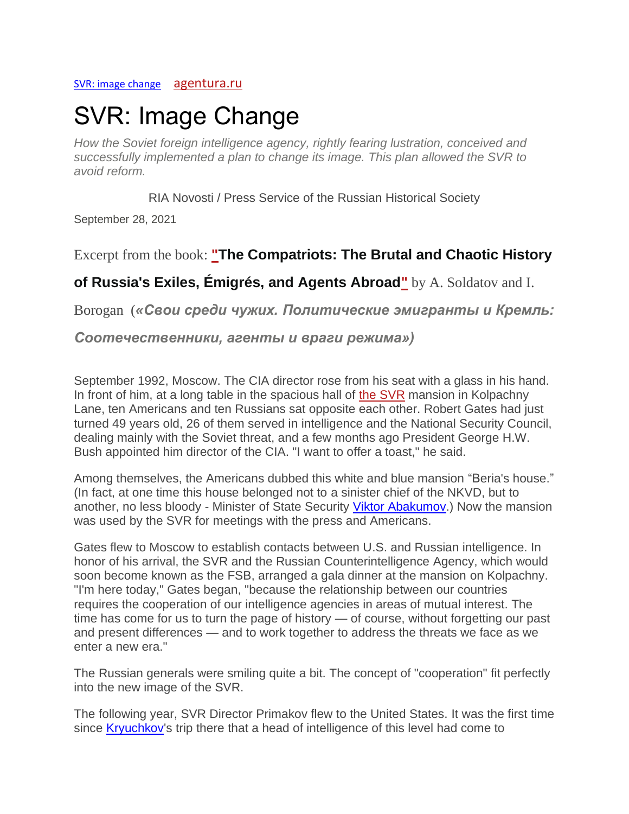### [SVR: image change](https://agentura.ru/investigations/svr-smena-imidzha/) [agentura.ru](https://agentura.ru/)

# SVR: Image Change

*How the Soviet foreign intelligence agency, rightly fearing lustration, conceived and successfully implemented a plan to change its image. This plan allowed the SVR to avoid reform.*

RIA Novosti / Press Service of the Russian Historical Society

September 28, 2021

Excerpt from the book: **["The Compatriots: The Brutal and Chaotic History](https://agentura.ru/investigations/svoi-sredi-chuzhih/)** 

# **[of Russia's Exiles, Émigrés, and Agents Abroad"](https://agentura.ru/investigations/svoi-sredi-chuzhih/)** by A. Soldatov and I.

Borogan (*«Свои среди чужих. Политические эмигранты и Кремль:* 

# *Соотечественники, агенты и враги режима»)*

September 1992, Moscow. The CIA director rose from his seat with a glass in his hand. In front of him, at a long table in the spacious hall of [the SVR](https://agentura.ru/profile/sluzhba-vneshnej-razvedki-svr/) mansion in Kolpachny Lane, ten Americans and ten Russians sat opposite each other. Robert Gates had just turned 49 years old, 26 of them served in intelligence and the National Security Council, dealing mainly with the Soviet threat, and a few months ago President George H.W. Bush appointed him director of the CIA. "I want to offer a toast," he said.

Among themselves, the Americans dubbed this white and blue mansion "Beria's house." (In fact, at one time this house belonged not to a sinister chief of the NKVD, but to another, no less bloody - Minister of State Security [Viktor Abakumov.](https://en.wikipedia.org/wiki/Viktor_Abakumov)) Now the mansion was used by the SVR for meetings with the press and Americans.

Gates flew to Moscow to establish contacts between U.S. and Russian intelligence. In honor of his arrival, the SVR and the Russian Counterintelligence Agency, which would soon become known as the FSB, arranged a gala dinner at the mansion on Kolpachny. "I'm here today," Gates began, "because the relationship between our countries requires the cooperation of our intelligence agencies in areas of mutual interest. The time has come for us to turn the page of history — of course, without forgetting our past and present differences — and to work together to address the threats we face as we enter a new era."

The Russian generals were smiling quite a bit. The concept of "cooperation" fit perfectly into the new image of the SVR.

The following year, SVR Director Primakov flew to the United States. It was the first time since **Kryuchkov's** trip there that a head of intelligence of this level had come to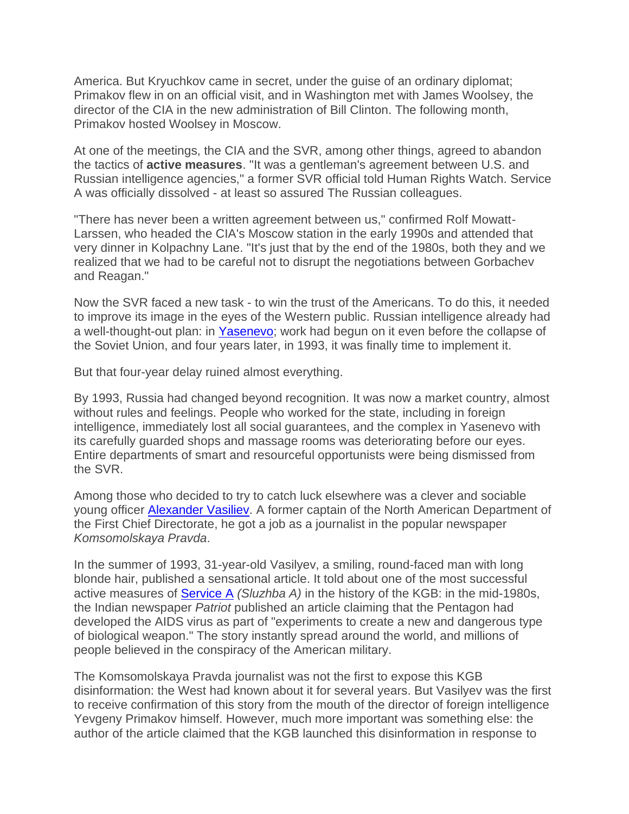America. But Kryuchkov came in secret, under the guise of an ordinary diplomat; Primakov flew in on an official visit, and in Washington met with James Woolsey, the director of the CIA in the new administration of Bill Clinton. The following month, Primakov hosted Woolsey in Moscow.

At one of the meetings, the CIA and the SVR, among other things, agreed to abandon the tactics of **active measures**. "It was a gentleman's agreement between U.S. and Russian intelligence agencies," a former SVR official told Human Rights Watch. Service A was officially dissolved - at least so assured The Russian colleagues.

"There has never been a written agreement between us," confirmed Rolf Mowatt-Larssen, who headed the CIA's Moscow station in the early 1990s and attended that very dinner in Kolpachny Lane. "It's just that by the end of the 1980s, both they and we realized that we had to be careful not to disrupt the negotiations between Gorbachev and Reagan."

Now the SVR faced a new task - to win the trust of the Americans. To do this, it needed to improve its image in the eyes of the Western public. Russian intelligence already had a well-thought-out plan: in [Yasenevo;](https://en.wikipedia.org/wiki/Foreign_Intelligence_Service_(Russia)) work had begun on it even before the collapse of the Soviet Union, and four years later, in 1993, it was finally time to implement it.

But that four-year delay ruined almost everything.

By 1993, Russia had changed beyond recognition. It was now a market country, almost without rules and feelings. People who worked for the state, including in foreign intelligence, immediately lost all social guarantees, and the complex in Yasenevo with its carefully guarded shops and massage rooms was deteriorating before our eyes. Entire departments of smart and resourceful opportunists were being dismissed from the SVR.

Among those who decided to try to catch luck elsewhere was a clever and sociable young officer [Alexander Vasiliev.](https://en.wikipedia.org/wiki/Alexander_Vassiliev) A former captain of the North American Department of the First Chief Directorate, he got a job as a journalist in the popular newspaper *Komsomolskaya Pravda*.

In the summer of 1993, 31-year-old Vasilyev, a smiling, round-faced man with long blonde hair, published a sensational article. It told about one of the most successful active measures of [Service A](https://en.wikipedia.org/wiki/KGB) *(Sluzhba A)* in the history of the KGB: in the mid-1980s, the Indian newspaper *Patriot* published an article claiming that the Pentagon had developed the AIDS virus as part of "experiments to create a new and dangerous type of biological weapon." The story instantly spread around the world, and millions of people believed in the conspiracy of the American military.

The Komsomolskaya Pravda journalist was not the first to expose this KGB disinformation: the West had known about it for several years. But Vasilyev was the first to receive confirmation of this story from the mouth of the director of foreign intelligence Yevgeny Primakov himself. However, much more important was something else: the author of the article claimed that the KGB launched this disinformation in response to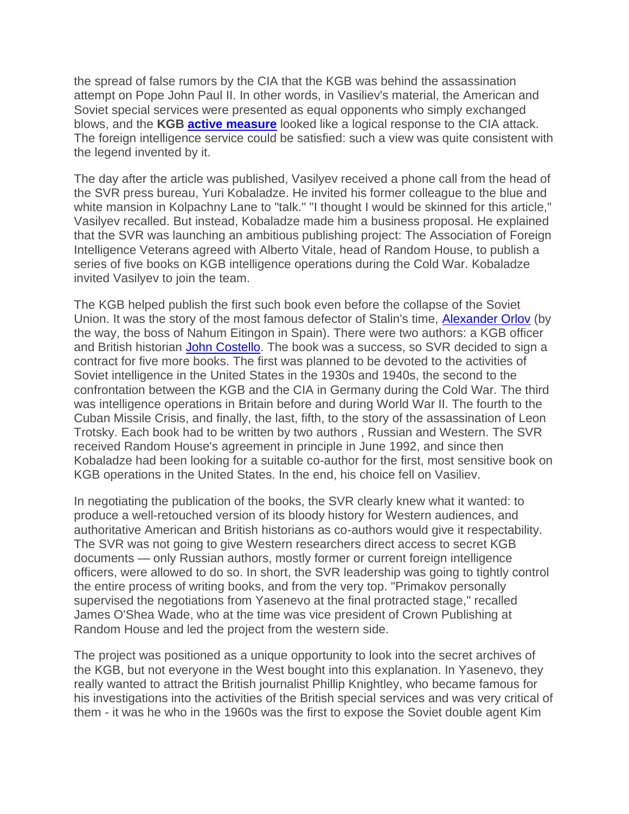the spread of false rumors by the CIA that the KGB was behind the assassination attempt on Pope John Paul II. In other words, in Vasiliev's material, the American and Soviet special services were presented as equal opponents who simply exchanged blows, and the **KGB [active measure](https://www.cia.gov/resources/csi/studies-in-intelligence/volume-64-no-1/active-measures-the-secret-history-of-disinformation-and-political-warfare/)** looked like a logical response to the CIA attack. The foreign intelligence service could be satisfied: such a view was quite consistent with the legend invented by it.

The day after the article was published, Vasilyev received a phone call from the head of the SVR press bureau, Yuri Kobaladze. He invited his former colleague to the blue and white mansion in Kolpachny Lane to "talk." "I thought I would be skinned for this article," Vasilyev recalled. But instead, Kobaladze made him a business proposal. He explained that the SVR was launching an ambitious publishing project: The Association of Foreign Intelligence Veterans agreed with Alberto Vitale, head of Random House, to publish a series of five books on KGB intelligence operations during the Cold War. Kobaladze invited Vasilyev to join the team.

The KGB helped publish the first such book even before the collapse of the Soviet Union. It was the story of the most famous defector of Stalin's time, [Alexander Orlov](https://en.wikipedia.org/wiki/Alexander_Orlov_(Soviet_defector)) (by the way, the boss of Nahum Eitingon in Spain). There were two authors: a KGB officer and British historian [John Costello.](https://d.docs.live.net/2416acf4fa230715/Documents/Marti/Deadly%20Illusions%20(1993)%20with%20Oleg%20Tsarev,%20about%20Aleksandr%20Mikhailovich%20Orlov%20ISBN%200-517-58850-1) The book was a success, so SVR decided to sign a contract for five more books. The first was planned to be devoted to the activities of Soviet intelligence in the United States in the 1930s and 1940s, the second to the confrontation between the KGB and the CIA in Germany during the Cold War. The third was intelligence operations in Britain before and during World War II. The fourth to the Cuban Missile Crisis, and finally, the last, fifth, to the story of the assassination of Leon Trotsky. Each book had to be written by two authors , Russian and Western. The SVR received Random House's agreement in principle in June 1992, and since then Kobaladze had been looking for a suitable co-author for the first, most sensitive book on KGB operations in the United States. In the end, his choice fell on Vasiliev.

In negotiating the publication of the books, the SVR clearly knew what it wanted: to produce a well-retouched version of its bloody history for Western audiences, and authoritative American and British historians as co-authors would give it respectability. The SVR was not going to give Western researchers direct access to secret KGB documents — only Russian authors, mostly former or current foreign intelligence officers, were allowed to do so. In short, the SVR leadership was going to tightly control the entire process of writing books, and from the very top. "Primakov personally supervised the negotiations from Yasenevo at the final protracted stage," recalled James O'Shea Wade, who at the time was vice president of Crown Publishing at Random House and led the project from the western side.

The project was positioned as a unique opportunity to look into the secret archives of the KGB, but not everyone in the West bought into this explanation. In Yasenevo, they really wanted to attract the British journalist Phillip Knightley, who became famous for his investigations into the activities of the British special services and was very critical of them - it was he who in the 1960s was the first to expose the Soviet double agent Kim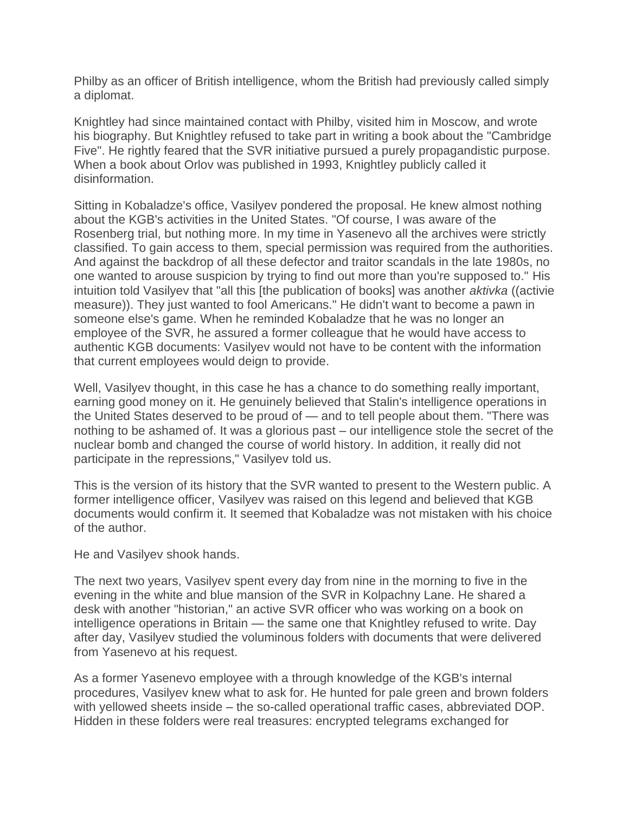Philby as an officer of British intelligence, whom the British had previously called simply a diplomat.

Knightley had since maintained contact with Philby, visited him in Moscow, and wrote his biography. But Knightley refused to take part in writing a book about the "Cambridge Five". He rightly feared that the SVR initiative pursued a purely propagandistic purpose. When a book about Orlov was published in 1993, Knightley publicly called it disinformation.

Sitting in Kobaladze's office, Vasilyev pondered the proposal. He knew almost nothing about the KGB's activities in the United States. "Of course, I was aware of the Rosenberg trial, but nothing more. In my time in Yasenevo all the archives were strictly classified. To gain access to them, special permission was required from the authorities. And against the backdrop of all these defector and traitor scandals in the late 1980s, no one wanted to arouse suspicion by trying to find out more than you're supposed to." His intuition told Vasilyev that "all this [the publication of books] was another *aktivka* ((activie measure)). They just wanted to fool Americans." He didn't want to become a pawn in someone else's game. When he reminded Kobaladze that he was no longer an employee of the SVR, he assured a former colleague that he would have access to authentic KGB documents: Vasilyev would not have to be content with the information that current employees would deign to provide.

Well, Vasilyev thought, in this case he has a chance to do something really important, earning good money on it. He genuinely believed that Stalin's intelligence operations in the United States deserved to be proud of — and to tell people about them. "There was nothing to be ashamed of. It was a glorious past – our intelligence stole the secret of the nuclear bomb and changed the course of world history. In addition, it really did not participate in the repressions," Vasilyev told us.

This is the version of its history that the SVR wanted to present to the Western public. A former intelligence officer, Vasilyev was raised on this legend and believed that KGB documents would confirm it. It seemed that Kobaladze was not mistaken with his choice of the author.

He and Vasilyev shook hands.

The next two years, Vasilyev spent every day from nine in the morning to five in the evening in the white and blue mansion of the SVR in Kolpachny Lane. He shared a desk with another "historian," an active SVR officer who was working on a book on intelligence operations in Britain — the same one that Knightley refused to write. Day after day, Vasilyev studied the voluminous folders with documents that were delivered from Yasenevo at his request.

As a former Yasenevo employee with a through knowledge of the KGB's internal procedures, Vasilyev knew what to ask for. He hunted for pale green and brown folders with yellowed sheets inside – the so-called operational traffic cases, abbreviated DOP. Hidden in these folders were real treasures: encrypted telegrams exchanged for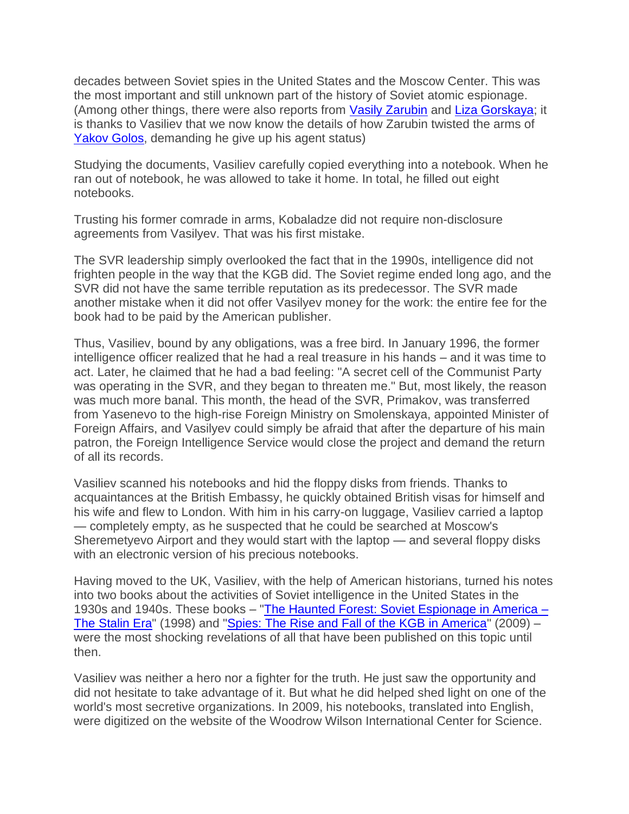decades between Soviet spies in the United States and the Moscow Center. This was the most important and still unknown part of the history of Soviet atomic espionage. (Among other things, there were also reports from [Vasily Zarubin](https://en.wikipedia.org/wiki/Vasily_Zarubin) and [Liza Gorskaya;](https://en.topwar.ru/90036-krasavica-liza-ili-sekrety-trockogo-gitlera-i-dyadi-sema-na-stole-u-stalina.html) it is thanks to Vasiliev that we now know the details of how Zarubin twisted the arms of [Yakov Golos,](https://en.wikipedia.org/wiki/Jacob_Golos) demanding he give up his agent status)

Studying the documents, Vasiliev carefully copied everything into a notebook. When he ran out of notebook, he was allowed to take it home. In total, he filled out eight notebooks.

Trusting his former comrade in arms, Kobaladze did not require non-disclosure agreements from Vasilyev. That was his first mistake.

The SVR leadership simply overlooked the fact that in the 1990s, intelligence did not frighten people in the way that the KGB did. The Soviet regime ended long ago, and the SVR did not have the same terrible reputation as its predecessor. The SVR made another mistake when it did not offer Vasilyev money for the work: the entire fee for the book had to be paid by the American publisher.

Thus, Vasiliev, bound by any obligations, was a free bird. In January 1996, the former intelligence officer realized that he had a real treasure in his hands – and it was time to act. Later, he claimed that he had a bad feeling: "A secret cell of the Communist Party was operating in the SVR, and they began to threaten me." But, most likely, the reason was much more banal. This month, the head of the SVR, Primakov, was transferred from Yasenevo to the high-rise Foreign Ministry on Smolenskaya, appointed Minister of Foreign Affairs, and Vasilyev could simply be afraid that after the departure of his main patron, the Foreign Intelligence Service would close the project and demand the return of all its records.

Vasiliev scanned his notebooks and hid the floppy disks from friends. Thanks to acquaintances at the British Embassy, he quickly obtained British visas for himself and his wife and flew to London. With him in his carry-on luggage, Vasiliev carried a laptop — completely empty, as he suspected that he could be searched at Moscow's Sheremetyevo Airport and they would start with the laptop — and several floppy disks with an electronic version of his precious notebooks.

Having moved to the UK, Vasiliev, with the help of American historians, turned his notes into two books about the activities of Soviet intelligence in the United States in the 1930s and 1940s. These books – ["The Haunted Forest: Soviet Espionage in America –](https://direct.mit.edu/jcws/article-abstract/1/2/121/12356/The-Haunted-Wood-Soviet-Espionage-in-America-The?redirectedFrom=fulltext) [The Stalin Era"](https://direct.mit.edu/jcws/article-abstract/1/2/121/12356/The-Haunted-Wood-Soviet-Espionage-in-America-The?redirectedFrom=fulltext) (1998) and ["Spies: The Rise and Fall of the KGB in America"](https://www.loc.gov/item/webcast-4867#:~:text=%22Spies%3A%20The%20Rise%20and%20Fall%20of%20the%20KGB,account%20of%20Soviet%20espionage%20in%20America%20ever%20written.) (2009) – were the most shocking revelations of all that have been published on this topic until then.

Vasiliev was neither a hero nor a fighter for the truth. He just saw the opportunity and did not hesitate to take advantage of it. But what he did helped shed light on one of the world's most secretive organizations. In 2009, his notebooks, translated into English, were digitized on the website of the Woodrow Wilson International Center for Science.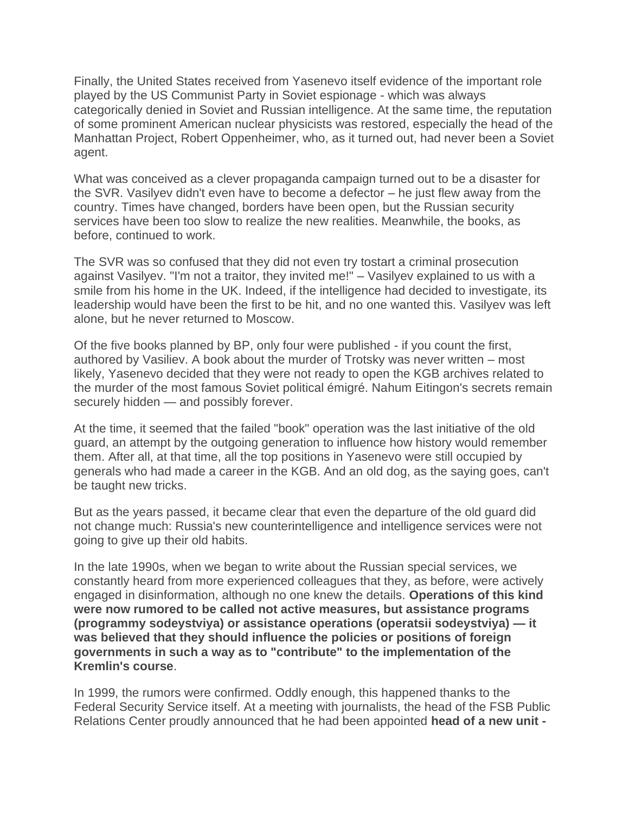Finally, the United States received from Yasenevo itself evidence of the important role played by the US Communist Party in Soviet espionage - which was always categorically denied in Soviet and Russian intelligence. At the same time, the reputation of some prominent American nuclear physicists was restored, especially the head of the Manhattan Project, Robert Oppenheimer, who, as it turned out, had never been a Soviet agent.

What was conceived as a clever propaganda campaign turned out to be a disaster for the SVR. Vasilyev didn't even have to become a defector – he just flew away from the country. Times have changed, borders have been open, but the Russian security services have been too slow to realize the new realities. Meanwhile, the books, as before, continued to work.

The SVR was so confused that they did not even try tostart a criminal prosecution against Vasilyev. "I'm not a traitor, they invited me!" – Vasilyev explained to us with a smile from his home in the UK. Indeed, if the intelligence had decided to investigate, its leadership would have been the first to be hit, and no one wanted this. Vasilyev was left alone, but he never returned to Moscow.

Of the five books planned by BP, only four were published - if you count the first, authored by Vasiliev. A book about the murder of Trotsky was never written – most likely, Yasenevo decided that they were not ready to open the KGB archives related to the murder of the most famous Soviet political émigré. Nahum Eitingon's secrets remain securely hidden — and possibly forever.

At the time, it seemed that the failed "book" operation was the last initiative of the old guard, an attempt by the outgoing generation to influence how history would remember them. After all, at that time, all the top positions in Yasenevo were still occupied by generals who had made a career in the KGB. And an old dog, as the saying goes, can't be taught new tricks.

But as the years passed, it became clear that even the departure of the old guard did not change much: Russia's new counterintelligence and intelligence services were not going to give up their old habits.

In the late 1990s, when we began to write about the Russian special services, we constantly heard from more experienced colleagues that they, as before, were actively engaged in disinformation, although no one knew the details. **Operations of this kind were now rumored to be called not active measures, but assistance programs (programmy sodeystviya) or assistance operations (operatsii sodeystviya) — it was believed that they should influence the policies or positions of foreign governments in such a way as to "contribute" to the implementation of the Kremlin's course**.

In 1999, the rumors were confirmed. Oddly enough, this happened thanks to the Federal Security Service itself. At a meeting with journalists, the head of the FSB Public Relations Center proudly announced that he had been appointed **head of a new unit -**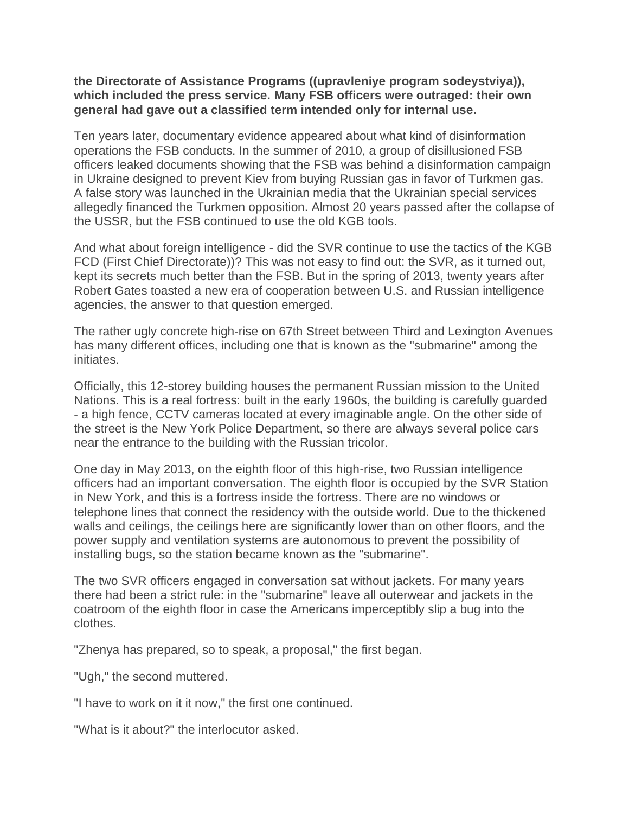## **the Directorate of Assistance Programs ((upravleniye program sodeystviya)), which included the press service. Many FSB officers were outraged: their own general had gave out a classified term intended only for internal use.**

Ten years later, documentary evidence appeared about what kind of disinformation operations the FSB conducts. In the summer of 2010, a group of disillusioned FSB officers leaked documents showing that the FSB was behind a disinformation campaign in Ukraine designed to prevent Kiev from buying Russian gas in favor of Turkmen gas. A false story was launched in the Ukrainian media that the Ukrainian special services allegedly financed the Turkmen opposition. Almost 20 years passed after the collapse of the USSR, but the FSB continued to use the old KGB tools.

And what about foreign intelligence - did the SVR continue to use the tactics of the KGB FCD (First Chief Directorate))? This was not easy to find out: the SVR, as it turned out, kept its secrets much better than the FSB. But in the spring of 2013, twenty years after Robert Gates toasted a new era of cooperation between U.S. and Russian intelligence agencies, the answer to that question emerged.

The rather ugly concrete high-rise on 67th Street between Third and Lexington Avenues has many different offices, including one that is known as the "submarine" among the initiates.

Officially, this 12-storey building houses the permanent Russian mission to the United Nations. This is a real fortress: built in the early 1960s, the building is carefully guarded - a high fence, CCTV cameras located at every imaginable angle. On the other side of the street is the New York Police Department, so there are always several police cars near the entrance to the building with the Russian tricolor.

One day in May 2013, on the eighth floor of this high-rise, two Russian intelligence officers had an important conversation. The eighth floor is occupied by the SVR Station in New York, and this is a fortress inside the fortress. There are no windows or telephone lines that connect the residency with the outside world. Due to the thickened walls and ceilings, the ceilings here are significantly lower than on other floors, and the power supply and ventilation systems are autonomous to prevent the possibility of installing bugs, so the station became known as the "submarine".

The two SVR officers engaged in conversation sat without jackets. For many years there had been a strict rule: in the "submarine" leave all outerwear and jackets in the coatroom of the eighth floor in case the Americans imperceptibly slip a bug into the clothes.

"Zhenya has prepared, so to speak, a proposal," the first began.

"Ugh," the second muttered.

"I have to work on it it now," the first one continued.

"What is it about?" the interlocutor asked.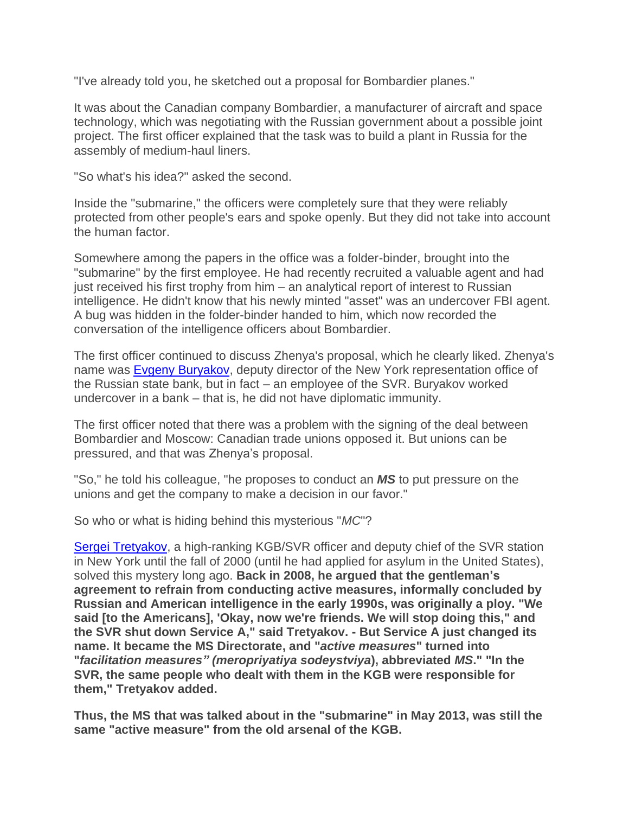"I've already told you, he sketched out a proposal for Bombardier planes."

It was about the Canadian company Bombardier, a manufacturer of aircraft and space technology, which was negotiating with the Russian government about a possible joint project. The first officer explained that the task was to build a plant in Russia for the assembly of medium-haul liners.

"So what's his idea?" asked the second.

Inside the "submarine," the officers were completely sure that they were reliably protected from other people's ears and spoke openly. But they did not take into account the human factor.

Somewhere among the papers in the office was a folder-binder, brought into the "submarine" by the first employee. He had recently recruited a valuable agent and had just received his first trophy from him – an analytical report of interest to Russian intelligence. He didn't know that his newly minted "asset" was an undercover FBI agent. A bug was hidden in the folder-binder handed to him, which now recorded the conversation of the intelligence officers about Bombardier.

The first officer continued to discuss Zhenya's proposal, which he clearly liked. Zhenya's name was **Evgeny Buryakov**, deputy director of the New York representation office of the Russian state bank, but in fact – an employee of the SVR. Buryakov worked undercover in a bank – that is, he did not have diplomatic immunity.

The first officer noted that there was a problem with the signing of the deal between Bombardier and Moscow: Canadian trade unions opposed it. But unions can be pressured, and that was Zhenya's proposal.

"So," he told his colleague, "he proposes to conduct an *MS* to put pressure on the unions and get the company to make a decision in our favor."

So who or what is hiding behind this mysterious "*MC*"?

Sergei Tretyakov, a high-ranking KGB/SVR officer and deputy chief of the SVR station in New York until the fall of 2000 (until he had applied for asylum in the United States), solved this mystery long ago. **Back in 2008, he argued that the gentleman's agreement to refrain from conducting active measures, informally concluded by Russian and American intelligence in the early 1990s, was originally a ploy. "We said [to the Americans], 'Okay, now we're friends. We will stop doing this," and the SVR shut down Service A," said Tretyakov. - But Service A just changed its name. It became the MS Directorate, and "***active measures***" turned into "***facilitation measures" (meropriyatiya sodeystviya***), abbreviated** *MS***." "In the SVR, the same people who dealt with them in the KGB were responsible for them," Tretyakov added.**

**Thus, the MS that was talked about in the "submarine" in May 2013, was still the same "active measure" from the old arsenal of the KGB.**